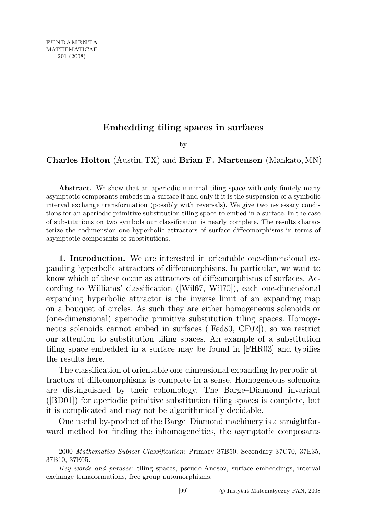## Embedding tiling spaces in surfaces

by

## Charles Holton (Austin, TX) and Brian F. Martensen (Mankato, MN)

Abstract. We show that an aperiodic minimal tiling space with only finitely many asymptotic composants embeds in a surface if and only if it is the suspension of a symbolic interval exchange transformation (possibly with reversals). We give two necessary conditions for an aperiodic primitive substitution tiling space to embed in a surface. In the case of substitutions on two symbols our classification is nearly complete. The results characterize the codimension one hyperbolic attractors of surface diffeomorphisms in terms of asymptotic composants of substitutions.

1. Introduction. We are interested in orientable one-dimensional expanding hyperbolic attractors of diffeomorphisms. In particular, we want to know which of these occur as attractors of diffeomorphisms of surfaces. According to Williams' classification ([Wil67, Wil70]), each one-dimensional expanding hyperbolic attractor is the inverse limit of an expanding map on a bouquet of circles. As such they are either homogeneous solenoids or (one-dimensional) aperiodic primitive substitution tiling spaces. Homogeneous solenoids cannot embed in surfaces ([Fed80, CF02]), so we restrict our attention to substitution tiling spaces. An example of a substitution tiling space embedded in a surface may be found in [FHR03] and typifies the results here.

The classification of orientable one-dimensional expanding hyperbolic attractors of diffeomorphisms is complete in a sense. Homogeneous solenoids are distinguished by their cohomology. The Barge–Diamond invariant ([BD01]) for aperiodic primitive substitution tiling spaces is complete, but it is complicated and may not be algorithmically decidable.

One useful by-product of the Barge–Diamond machinery is a straightforward method for finding the inhomogeneities, the asymptotic composants

<sup>2000</sup> Mathematics Subject Classification: Primary 37B50; Secondary 37C70, 37E35, 37B10, 37E05.

Key words and phrases: tiling spaces, pseudo-Anosov, surface embeddings, interval exchange transformations, free group automorphisms.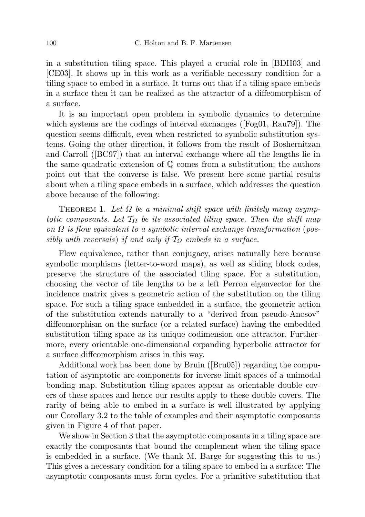in a substitution tiling space. This played a crucial role in [BDH03] and [CE03]. It shows up in this work as a verifiable necessary condition for a tiling space to embed in a surface. It turns out that if a tiling space embeds in a surface then it can be realized as the attractor of a diffeomorphism of a surface.

It is an important open problem in symbolic dynamics to determine which systems are the codings of interval exchanges ([Fog01, Rau79]). The question seems difficult, even when restricted to symbolic substitution systems. Going the other direction, it follows from the result of Boshernitzan and Carroll ([BC97]) that an interval exchange where all the lengths lie in the same quadratic extension of  $\mathbb Q$  comes from a substitution; the authors point out that the converse is false. We present here some partial results about when a tiling space embeds in a surface, which addresses the question above because of the following:

THEOREM 1. Let  $\Omega$  be a minimal shift space with finitely many asymptotic composants. Let  $T_{\Omega}$  be its associated tiling space. Then the shift map on  $\Omega$  is flow equivalent to a symbolic interval exchange transformation (possibly with reversals) if and only if  $\mathcal{T}_{\Omega}$  embeds in a surface.

Flow equivalence, rather than conjugacy, arises naturally here because symbolic morphisms (letter-to-word maps), as well as sliding block codes, preserve the structure of the associated tiling space. For a substitution, choosing the vector of tile lengths to be a left Perron eigenvector for the incidence matrix gives a geometric action of the substitution on the tiling space. For such a tiling space embedded in a surface, the geometric action of the substitution extends naturally to a "derived from pseudo-Anosov" diffeomorphism on the surface (or a related surface) having the embedded substitution tiling space as its unique codimension one attractor. Furthermore, every orientable one-dimensional expanding hyperbolic attractor for a surface diffeomorphism arises in this way.

Additional work has been done by Bruin ([Bru05]) regarding the computation of asymptotic arc-components for inverse limit spaces of a unimodal bonding map. Substitution tiling spaces appear as orientable double covers of these spaces and hence our results apply to these double covers. The rarity of being able to embed in a surface is well illustrated by applying our Corollary 3.2 to the table of examples and their asymptotic composants given in Figure 4 of that paper.

We show in Section 3 that the asymptotic composants in a tiling space are exactly the composants that bound the complement when the tiling space is embedded in a surface. (We thank M. Barge for suggesting this to us.) This gives a necessary condition for a tiling space to embed in a surface: The asymptotic composants must form cycles. For a primitive substitution that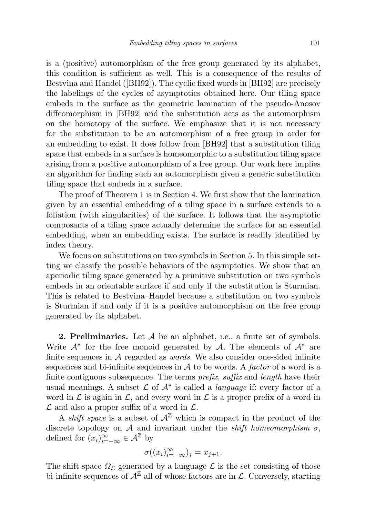is a (positive) automorphism of the free group generated by its alphabet, this condition is sufficient as well. This is a consequence of the results of Bestvina and Handel ([BH92]). The cyclic fixed words in [BH92] are precisely the labelings of the cycles of asymptotics obtained here. Our tiling space embeds in the surface as the geometric lamination of the pseudo-Anosov diffeomorphism in [BH92] and the substitution acts as the automorphism on the homotopy of the surface. We emphasize that it is not necessary for the substitution to be an automorphism of a free group in order for an embedding to exist. It does follow from [BH92] that a substitution tiling space that embeds in a surface is homeomorphic to a substitution tiling space arising from a positive automorphism of a free group. Our work here implies an algorithm for finding such an automorphism given a generic substitution tiling space that embeds in a surface.

The proof of Theorem 1 is in Section 4. We first show that the lamination given by an essential embedding of a tiling space in a surface extends to a foliation (with singularities) of the surface. It follows that the asymptotic composants of a tiling space actually determine the surface for an essential embedding, when an embedding exists. The surface is readily identified by index theory.

We focus on substitutions on two symbols in Section 5. In this simple setting we classify the possible behaviors of the asymptotics. We show that an aperiodic tiling space generated by a primitive substitution on two symbols embeds in an orientable surface if and only if the substitution is Sturmian. This is related to Bestvina–Handel because a substitution on two symbols is Sturmian if and only if it is a positive automorphism on the free group generated by its alphabet.

**2. Preliminaries.** Let  $\mathcal A$  be an alphabet, i.e., a finite set of symbols. Write  $A^*$  for the free monoid generated by A. The elements of  $A^*$  are finite sequences in  $A$  regarded as *words*. We also consider one-sided infinite sequences and bi-infinite sequences in  $\mathcal A$  to be words. A factor of a word is a finite contiguous subsequence. The terms  $prefix, suffix$  and length have their usual meanings. A subset  $\mathcal L$  of  $\mathcal A^*$  is called a *language* if: every factor of a word in  $\mathcal L$  is again in  $\mathcal L$ , and every word in  $\mathcal L$  is a proper prefix of a word in  $\mathcal L$  and also a proper suffix of a word in  $\mathcal L$ .

A *shift space* is a subset of  $A^{\mathbb{Z}}$  which is compact in the product of the discrete topology on A and invariant under the *shift homeomorphism*  $\sigma$ , defined for  $(x_i)_{i=-\infty}^{\infty} \in \mathcal{A}^{\mathbb{Z}}$  by

$$
\sigma((x_i)_{i=-\infty}^{\infty})_j = x_{j+1}.
$$

The shift space  $\Omega_{\mathcal{L}}$  generated by a language  $\mathcal{L}$  is the set consisting of those bi-infinite sequences of  $\mathcal{A}^{\mathbb{Z}}$  all of whose factors are in  $\mathcal{L}$ . Conversely, starting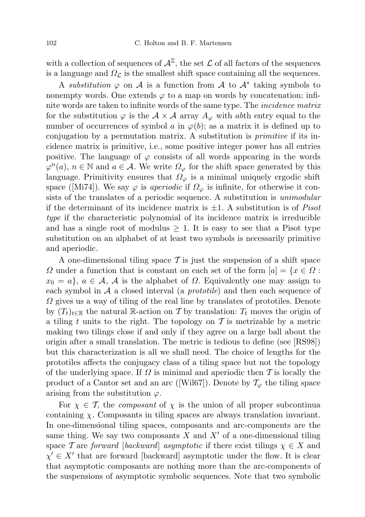with a collection of sequences of  $\mathcal{A}^{\mathbb{Z}}$ , the set  $\mathcal L$  of all factors of the sequences is a language and  $\Omega_{\mathcal{L}}$  is the smallest shift space containing all the sequences.

A substitution  $\varphi$  on A is a function from A to  $\mathcal{A}^*$  taking symbols to nonempty words. One extends  $\varphi$  to a map on words by concatenation; infinite words are taken to infinite words of the same type. The incidence matrix for the substitution  $\varphi$  is the  $\mathcal{A} \times \mathcal{A}$  array  $A_{\varphi}$  with abth entry equal to the number of occurrences of symbol a in  $\varphi(b)$ ; as a matrix it is defined up to conjugation by a permutation matrix. A substitution is primitive if its incidence matrix is primitive, i.e., some positive integer power has all entries positive. The language of  $\varphi$  consists of all words appearing in the words  $\varphi^{n}(a), n \in \mathbb{N}$  and  $a \in \mathcal{A}$ . We write  $\Omega_{\varphi}$  for the shift space generated by this language. Primitivity ensures that  $\Omega_{\varphi}$  is a minimal uniquely ergodic shift space ([Mi74]). We say  $\varphi$  is *aperiodic* if  $\Omega_{\varphi}$  is infinite, for otherwise it consists of the translates of a periodic sequence. A substitution is *unimodular* if the determinant of its incidence matrix is  $\pm 1$ . A substitution is of *Pisot* type if the characteristic polynomial of its incidence matrix is irreducible and has a single root of modulus  $\geq 1$ . It is easy to see that a Pisot type substitution on an alphabet of at least two symbols is necessarily primitive and aperiodic.

A one-dimensional tiling space  $\mathcal T$  is just the suspension of a shift space  $\Omega$  under a function that is constant on each set of the form  $|a| = \{x \in \Omega :$  $x_0 = a$ ,  $a \in \mathcal{A}$ ,  $\mathcal{A}$  is the alphabet of  $\Omega$ . Equivalently one may assign to each symbol in  $A$  a closed interval (a *prototile*) and then each sequence of  $\Omega$  gives us a way of tiling of the real line by translates of prototiles. Denote by  $(T_t)_{t\in\mathbb{R}}$  the natural R-action on T by translation:  $T_t$  moves the origin of a tiling t units to the right. The topology on  $\mathcal T$  is metrizable by a metric making two tilings close if and only if they agree on a large ball about the origin after a small translation. The metric is tedious to define (see [RS98]) but this characterization is all we shall need. The choice of lengths for the prototiles affects the conjugacy class of a tiling space but not the topology of the underlying space. If  $\Omega$  is minimal and aperiodic then T is locally the product of a Cantor set and an arc ([Wil67]). Denote by  $\mathcal{T}_{\varphi}$  the tiling space arising from the substitution  $\varphi$ .

For  $\chi \in \mathcal{T}$ , the *composant* of  $\chi$  is the union of all proper subcontinua containing  $\chi$ . Composants in tiling spaces are always translation invariant. In one-dimensional tiling spaces, composants and arc-components are the same thing. We say two composants  $X$  and  $X'$  of a one-dimensional tiling space T are forward [backward] asymptotic if there exist tilings  $\chi \in X$  and  $\chi' \in X'$  that are forward [backward] asymptotic under the flow. It is clear that asymptotic composants are nothing more than the arc-components of the suspensions of asymptotic symbolic sequences. Note that two symbolic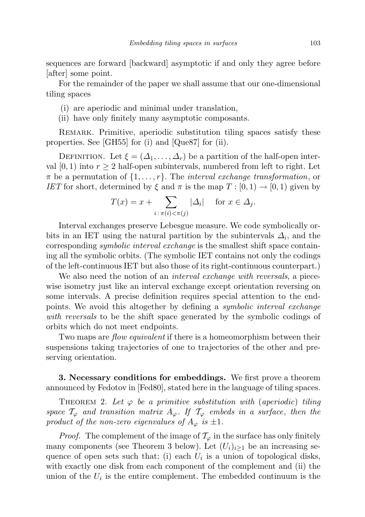sequences are forward [backward] asymptotic if and only they agree before [after] some point.

For the remainder of the paper we shall assume that our one-dimensional tiling spaces

- (i) are aperiodic and minimal under translation,
- (ii) have only finitely many asymptotic composants.

REMARK. Primitive, aperiodic substitution tiling spaces satisfy these properties. See [GH55] for (i) and [Que87] for (ii).

DEFINITION. Let  $\xi = (\Delta_1, \ldots, \Delta_r)$  be a partition of the half-open interval  $[0,1)$  into  $r \geq 2$  half-open subintervals, numbered from left to right. Let  $\pi$  be a permutation of  $\{1, \ldots, r\}$ . The *interval exchange transformation*, or IET for short, determined by  $\xi$  and  $\pi$  is the map  $T : [0,1) \to [0,1)$  given by

$$
T(x) = x + \sum_{i \,:\, \pi(i) < \pi(j)} |\Delta_i| \quad \text{ for } x \in \Delta_j.
$$

Interval exchanges preserve Lebesgue measure. We code symbolically orbits in an IET using the natural partition by the subintervals  $\Delta_i$ , and the corresponding symbolic interval exchange is the smallest shift space containing all the symbolic orbits. (The symbolic IET contains not only the codings of the left-continuous IET but also those of its right-continuous counterpart.)

We also need the notion of an *interval exchange with reversals*, a piecewise isometry just like an interval exchange except orientation reversing on some intervals. A precise definition requires special attention to the endpoints. We avoid this altogether by defining a symbolic interval exchange with reversals to be the shift space generated by the symbolic codings of orbits which do not meet endpoints.

Two maps are *flow equivalent* if there is a homeomorphism between their suspensions taking trajectories of one to trajectories of the other and preserving orientation.

3. Necessary conditions for embeddings. We first prove a theorem announced by Fedotov in [Fed80], stated here in the language of tiling spaces.

THEOREM 2. Let  $\varphi$  be a primitive substitution with (aperiodic) tiling space  $\mathcal{T}_{\varphi}$  and transition matrix  $A_{\varphi}$ . If  $\mathcal{T}_{\varphi}$  embeds in a surface, then the product of the non-zero eigenvalues of  $A_{\varphi}$  is  $\pm 1$ .

*Proof.* The complement of the image of  $\mathcal{T}_{\varphi}$  in the surface has only finitely many components (see Theorem 3 below). Let  $(U_i)_{i\geq 1}$  be an increasing sequence of open sets such that: (i) each  $U_i$  is a union of topological disks, with exactly one disk from each component of the complement and (ii) the union of the  $U_i$  is the entire complement. The embedded continuum is the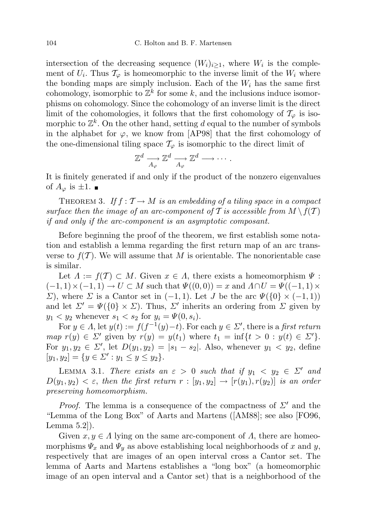intersection of the decreasing sequence  $(W_i)_{i\geq 1}$ , where  $W_i$  is the complement of  $U_i$ . Thus  $\mathcal{T}_{\varphi}$  is homeomorphic to the inverse limit of the  $W_i$  where the bonding maps are simply inclusion. Each of the  $W_i$  has the same first cohomology, isomorphic to  $\mathbb{Z}^k$  for some k, and the inclusions induce isomorphisms on cohomology. Since the cohomology of an inverse limit is the direct limit of the cohomologies, it follows that the first cohomology of  $\mathcal{T}_{\varphi}$  is isomorphic to  $\mathbb{Z}^k$ . On the other hand, setting d equal to the number of symbols in the alphabet for  $\varphi$ , we know from [AP98] that the first cohomology of the one-dimensional tiling space  $\mathcal{T}_{\varphi}$  is isomorphic to the direct limit of

$$
\mathbb{Z}^d \xrightarrow[A_\varphi]{} \mathbb{Z}^d \xrightarrow[A_\varphi]{} \mathbb{Z}^d \longrightarrow \cdots.
$$

It is finitely generated if and only if the product of the nonzero eigenvalues of  $A_{\varphi}$  is  $\pm 1$ .

THEOREM 3. If  $f : \mathcal{T} \to M$  is an embedding of a tiling space in a compact surface then the image of an arc-component of T is accessible from  $M \setminus f(\mathcal{T})$ if and only if the arc-component is an asymptotic composant.

Before beginning the proof of the theorem, we first establish some notation and establish a lemma regarding the first return map of an arc transverse to  $f(\mathcal{T})$ . We will assume that M is orientable. The nonorientable case is similar.

Let  $\Lambda := f(\mathcal{T}) \subset M$ . Given  $x \in \Lambda$ , there exists a homeomorphism  $\Psi$ :  $(-1, 1) \times (-1, 1) \rightarrow U \subset M$  such that  $\Psi((0, 0)) = x$  and  $\Lambda \cap U = \Psi((-1, 1) \times$  $Σ$ ), where Σ is a Cantor set in (-1, 1). Let J be the arc  $\Psi({0} \times (-1, 1))$ and let  $\Sigma' = \Psi({0} \times \Sigma)$ . Thus,  $\Sigma'$  inherits an ordering from  $\Sigma$  given by  $y_1 < y_2$  whenever  $s_1 < s_2$  for  $y_i = \Psi(0, s_i)$ .

For  $y \in A$ , let  $y(t) := f(f^{-1}(y) - t)$ . For each  $y \in \Sigma'$ , there is a first return map  $r(y) \in \Sigma'$  given by  $r(y) = y(t_1)$  where  $t_1 = \inf\{t > 0 : y(t) \in \Sigma'\}.$ For  $y_1, y_2 \in \Sigma'$ , let  $D(y_1, y_2) = |s_1 - s_2|$ . Also, whenever  $y_1 < y_2$ , define  $[y_1, y_2] = \{y \in \Sigma' : y_1 \le y \le y_2\}.$ 

LEMMA 3.1. There exists an  $\varepsilon > 0$  such that if  $y_1 < y_2 \in \Sigma'$  and  $D(y_1, y_2) < \varepsilon$ , then the first return  $r : [y_1, y_2] \to [r(y_1), r(y_2)]$  is an order preserving homeomorphism.

*Proof.* The lemma is a consequence of the compactness of  $\Sigma'$  and the "Lemma of the Long Box" of Aarts and Martens ([AM88]; see also [FO96, Lemma 5.2]).

Given  $x, y \in \Lambda$  lying on the same arc-component of  $\Lambda$ , there are homeomorphisms  $\Psi_x$  and  $\Psi_y$  as above establishing local neighborhoods of x and y, respectively that are images of an open interval cross a Cantor set. The lemma of Aarts and Martens establishes a "long box" (a homeomorphic image of an open interval and a Cantor set) that is a neighborhood of the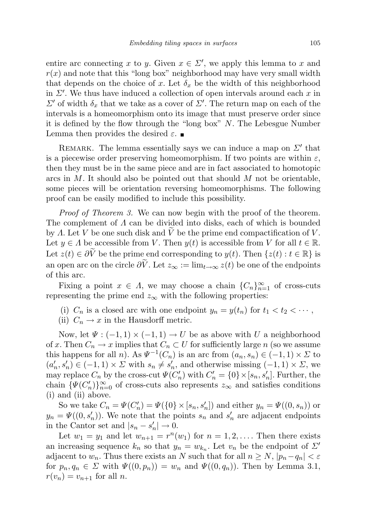entire arc connecting x to y. Given  $x \in \Sigma'$ , we apply this lemma to x and  $r(x)$  and note that this "long box" neighborhood may have very small width that depends on the choice of x. Let  $\delta_x$  be the width of this neighborhood in  $\Sigma'$ . We thus have induced a collection of open intervals around each x in  $\Sigma'$  of width  $δ_x$  that we take as a cover of  $\Sigma'$ . The return map on each of the intervals is a homeomorphism onto its image that must preserve order since it is defined by the flow through the "long box"  $N$ . The Lebesgue Number Lemma then provides the desired  $\varepsilon$ .

REMARK. The lemma essentially says we can induce a map on  $\Sigma'$  that is a piecewise order preserving homeomorphism. If two points are within  $\varepsilon$ , then they must be in the same piece and are in fact associated to homotopic arcs in  $M$ . It should also be pointed out that should  $M$  not be orientable, some pieces will be orientation reversing homeomorphisms. The following proof can be easily modified to include this possibility.

Proof of Theorem 3. We can now begin with the proof of the theorem. The complement of  $\Lambda$  can be divided into disks, each of which is bounded by  $\Lambda$ . Let V be one such disk and V be the prime end compactification of V. Let  $y \in A$  be accessible from V. Then  $y(t)$  is accessible from V for all  $t \in \mathbb{R}$ . Let  $z(t) \in \partial \widetilde{V}$  be the prime end corresponding to  $y(t)$ . Then  $\{z(t) : t \in \mathbb{R}\}\$ is an open arc on the circle  $\partial \tilde{V}$ . Let  $z_{\infty} := \lim_{t \to \infty} z(t)$  be one of the endpoints of this arc.

Fixing a point  $x \in \Lambda$ , we may choose a chain  $\{C_n\}_{n=1}^{\infty}$  of cross-cuts representing the prime end  $z_{\infty}$  with the following properties:

- (i)  $C_n$  is a closed arc with one endpoint  $y_n = y(t_n)$  for  $t_1 < t_2 < \cdots$ ,
- (ii)  $C_n \to x$  in the Hausdorff metric.

Now, let  $\Psi: (-1,1) \times (-1,1) \rightarrow U$  be as above with U a neighborhood of x. Then  $C_n \to x$  implies that  $C_n \subset U$  for sufficiently large n (so we assume this happens for all *n*). As  $\Psi^{-1}(C_n)$  is an arc from  $(a_n, s_n) \in (-1, 1) \times \Sigma$  to  $(a'_n, s'_n) \in (-1, 1) \times \Sigma$  with  $s_n \neq s'_n$ , and otherwise missing  $(-1, 1) \times \Sigma$ , we may replace  $C_n$  by the cross-cut  $\Psi(C'_n)$  with  $C'_n = \{0\} \times [s_n, s'_n]$ . Further, the chain  $\{\Psi(C'_n)\}_{n=0}^{\infty}$  of cross-cuts also represents  $z_{\infty}$  and satisfies conditions (i) and (ii) above.

So we take  $C_n = \Psi(C'_n) = \Psi(\{0\} \times [s_n, s'_n])$  and either  $y_n = \Psi((0, s_n))$  or  $y_n = \Psi((0, s'_n))$ . We note that the points  $s_n$  and  $s'_n$  are adjacent endpoints in the Cantor set and  $|s_n - s'_n| \to 0$ .

Let  $w_1 = y_1$  and let  $w_{n+1} = r^n(w_1)$  for  $n = 1, 2, \ldots$ . Then there exists an increasing sequence  $k_n$  so that  $y_n = w_{k_n}$ . Let  $v_n$  be the endpoint of  $\Sigma'$ adjacent to  $w_n$ . Thus there exists an N such that for all  $n \geq N$ ,  $|p_n-q_n| < \varepsilon$ for  $p_n, q_n \in \Sigma$  with  $\Psi((0, p_n)) = w_n$  and  $\Psi((0, q_n))$ . Then by Lemma 3.1,  $r(v_n) = v_{n+1}$  for all n.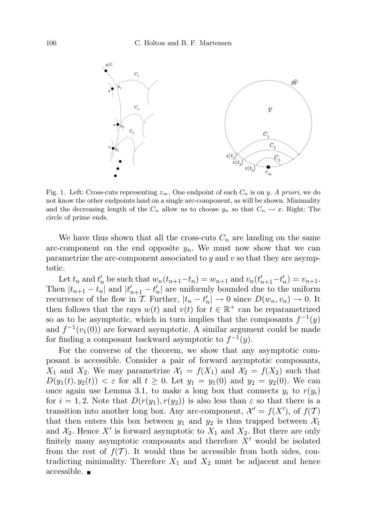

Fig. 1. Left: Cross-cuts representing  $z_{\infty}$ . One endpoint of each  $C_n$  is on y. A priori, we do not know the other endpoints land on a single arc-component, as will be shown. Minimality and the decreasing length of the  $C_n$  allow us to choose  $y_n$  so that  $C_n \to x$ . Right: The circle of prime ends.

We have thus shown that all the cross-cuts  $C_n$  are landing on the same arc-component on the end opposite  $y_n$ . We must now show that we can parametrize the arc-component associated to  $y$  and  $v$  so that they are asymptotic.

Let  $t_n$  and  $t'_n$  be such that  $w_n(t_{n+1}-t_n) = w_{n+1}$  and  $v_n(t'_{n+1}-t'_n) = v_{n+1}$ . Then  $|t_{n+1} - t_n|$  and  $|t'_{n+1} - t'_n|$  are uniformly bounded due to the uniform recurrence of the flow in T. Further,  $|t_n - t'_n| \to 0$  since  $D(w_n, v_n) \to 0$ . It then follows that the rays  $w(t)$  and  $v(t)$  for  $t \in \mathbb{R}^+$  can be reparametrized so as to be asymptotic, which in turn implies that the composants  $f^{-1}(y)$ and  $f^{-1}(v_1(0))$  are forward asymptotic. A similar argument could be made for finding a composant backward asymptotic to  $f^{-1}(y)$ .

For the converse of the theorem, we show that any asymptotic composant is accessible. Consider a pair of forward asymptotic composants,  $X_1$  and  $X_2$ . We may parametrize  $\mathcal{X}_1 = f(X_1)$  and  $\mathcal{X}_2 = f(X_2)$  such that  $D(y_1(t), y_2(t)) < \varepsilon$  for all  $t \ge 0$ . Let  $y_1 = y_1(0)$  and  $y_2 = y_2(0)$ . We can once again use Lemma 3.1, to make a long box that connects  $y_i$  to  $r(y_i)$ for  $i = 1, 2$ . Note that  $D(r(y_1), r(y_2))$  is also less than  $\varepsilon$  so that there is a transition into another long box. Any arc-component,  $\mathcal{X}' = f(X')$ , of  $f(\mathcal{T})$ that then enters this box between  $y_1$  and  $y_2$  is thus trapped between  $\mathcal{X}_1$ and  $\mathcal{X}_2$ . Hence X' is forward asymptotic to  $X_1$  and  $X_2$ . But there are only finitely many asymptotic composants and therefore  $X'$  would be isolated from the rest of  $f(T)$ . It would thus be accessible from both sides, contradicting minimality. Therefore  $X_1$  and  $X_2$  must be adjacent and hence accessible.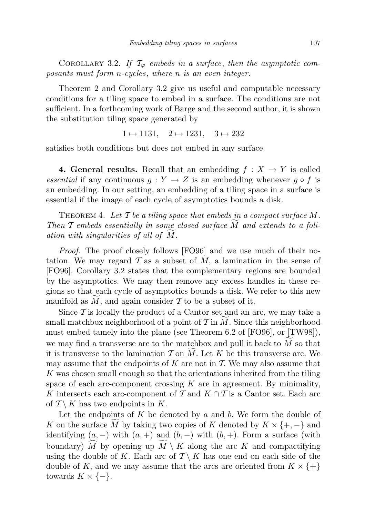COROLLARY 3.2. If  $\mathcal{T}_{\varphi}$  embeds in a surface, then the asymptotic composants must form n-cycles, where n is an even integer.

Theorem 2 and Corollary 3.2 give us useful and computable necessary conditions for a tiling space to embed in a surface. The conditions are not sufficient. In a forthcoming work of Barge and the second author, it is shown the substitution tiling space generated by

$$
1 \mapsto 1131, \quad 2 \mapsto 1231, \quad 3 \mapsto 232
$$

satisfies both conditions but does not embed in any surface.

4. General results. Recall that an embedding  $f : X \to Y$  is called essential if any continuous  $q: Y \to Z$  is an embedding whenever  $q \circ f$  is an embedding. In our setting, an embedding of a tiling space in a surface is essential if the image of each cycle of asymptotics bounds a disk.

THEOREM 4. Let  $\mathcal T$  be a tiling space that embeds in a compact surface  $M$ . Then  $\mathcal T$  embeds essentially in some closed surface  $M$  and extends to a foliation with singularities of all of  $M$ .

Proof. The proof closely follows [FO96] and we use much of their notation. We may regard  $\mathcal T$  as a subset of  $M$ , a lamination in the sense of [FO96]. Corollary 3.2 states that the complementary regions are bounded by the asymptotics. We may then remove any excess handles in these regions so that each cycle of asymptotics bounds a disk. We refer to this new manifold as  $M$ , and again consider  $\mathcal T$  to be a subset of it.

Since  $\mathcal T$  is locally the product of a Cantor set and an arc, we may take a small matchbox neighborhood of a point of  $\mathcal T$  in  $M$ . Since this neighborhood must embed tamely into the plane (see Theorem 6.2 of [FO96], or [TW98]), we may find a transverse arc to the matchbox and pull it back to  $M$  so that it is transverse to the lamination  $\mathcal T$  on  $M$ . Let K be this transverse arc. We may assume that the endpoints of  $K$  are not in  $T$ . We may also assume that K was chosen small enough so that the orientations inherited from the tiling space of each arc-component crossing  $K$  are in agreement. By minimality, K intersects each arc-component of  $\mathcal T$  and  $K \cap \mathcal T$  is a Cantor set. Each arc of  $T \setminus K$  has two endpoints in K.

Let the endpoints of  $K$  be denoted by  $a$  and  $b$ . We form the double of K on the surface M by taking two copies of K denoted by  $K \times \{+,-\}$  and identifying  $(a, -)$  with  $(a, +)$  and  $(b, -)$  with  $(b, +)$ . Form a surface (with boundary)  $\widehat{M}$  by opening up  $\widetilde{M} \setminus K$  along the arc K and compactifying using the double of K. Each arc of  $\mathcal{T}\setminus K$  has one end on each side of the double of K, and we may assume that the arcs are oriented from  $K \times \{+\}$ towards  $K \times \{-\}.$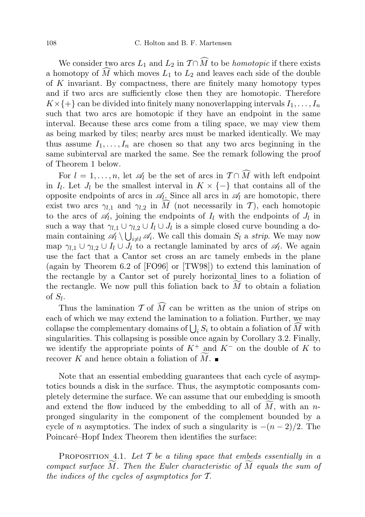We consider two arcs  $L_1$  and  $L_2$  in  $\mathcal{T} \cap \widehat{M}$  to be *homotopic* if there exists a homotopy of  $\widehat{M}$  which moves  $L_1$  to  $L_2$  and leaves each side of the double of K invariant. By compactness, there are finitely many homotopy types and if two arcs are sufficiently close then they are homotopic. Therefore  $K \times \{+\}$  can be divided into finitely many nonoverlapping intervals  $I_1, \ldots, I_n$ such that two arcs are homotopic if they have an endpoint in the same interval. Because these arcs come from a tiling space, we may view them as being marked by tiles; nearby arcs must be marked identically. We may thus assume  $I_1, \ldots, I_n$  are chosen so that any two arcs beginning in the same subinterval are marked the same. See the remark following the proof of Theorem 1 below.

For  $l = 1, \ldots, n$ , let  $\mathscr{A}_l$  be the set of arcs in  $\mathcal{T} \cap \widehat{M}$  with left endpoint in  $I_l$ . Let  $J_l$  be the smallest interval in  $K \times \{-\}$  that contains all of the opposite endpoints of arcs in  $\mathscr{A}_l$ . Since all arcs in  $\mathscr{A}_l$  are homotopic, there exist two arcs  $\gamma_{l,1}$  and  $\gamma_{l,2}$  in  $\tilde{M}$  (not necessarily in T), each homotopic to the arcs of  $\mathcal{A}_l$ , joining the endpoints of  $I_l$  with the endpoints of  $J_l$  in such a way that  $\gamma_{l,1} \cup \gamma_{l,2} \cup I_l \cup J_l$  is a simple closed curve bounding a domain containing  $\mathscr{A}_l \setminus \bigcup_{i \neq l} \mathscr{A}_i$ . We call this domain  $S_l$  a strip. We may now map  $\gamma_{l,1} \cup \gamma_{l,2} \cup I_l \cup J_l$  to a rectangle laminated by arcs of  $\mathscr{A}_l$ . We again use the fact that a Cantor set cross an arc tamely embeds in the plane (again by Theorem 6.2 of [FO96] or [TW98]) to extend this lamination of the rectangle by a Cantor set of purely horizontal lines to a foliation of the rectangle. We now pull this foliation back to  $M$  to obtain a foliation of  $S_l$ .

Thus the lamination T of  $\widehat{M}$  can be written as the union of strips on each of which we may extend the lamination to a foliation. Further, we may collapse the complementary domains of  $\bigcup_i S_i$  to obtain a foliation of M with singularities. This collapsing is possible once again by Corollary 3.2. Finally, we identify the appropriate points of  $K^+$  and  $K^-$  on the double of K to recover K and hence obtain a foliation of  $M$ .

Note that an essential embedding guarantees that each cycle of asymptotics bounds a disk in the surface. Thus, the asymptotic composants completely determine the surface. We can assume that our embedding is smooth and extend the flow induced by the embedding to all of  $M$ , with an npronged singularity in the component of the complement bounded by a cycle of n asymptotics. The index of such a singularity is  $-(n-2)/2$ . The Poincaré–Hopf Index Theorem then identifies the surface:

PROPOSITION 4.1. Let  $\mathcal T$  be a tiling space that embeds essentially in a compact surface  $M$ . Then the Euler characteristic of  $M$  equals the sum of the indices of the cycles of asymptotics for T.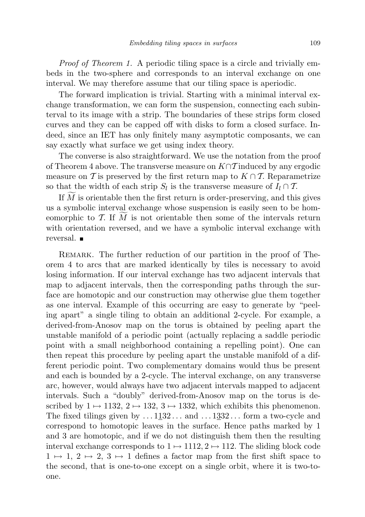Proof of Theorem 1. A periodic tiling space is a circle and trivially embeds in the two-sphere and corresponds to an interval exchange on one interval. We may therefore assume that our tiling space is aperiodic.

The forward implication is trivial. Starting with a minimal interval exchange transformation, we can form the suspension, connecting each subinterval to its image with a strip. The boundaries of these strips form closed curves and they can be capped off with disks to form a closed surface. Indeed, since an IET has only finitely many asymptotic composants, we can say exactly what surface we get using index theory.

The converse is also straightforward. We use the notation from the proof of Theorem 4 above. The transverse measure on  $K \cap \mathcal{T}$  induced by any ergodic measure on T is preserved by the first return map to  $K \cap T$ . Reparametrize so that the width of each strip  $S_l$  is the transverse measure of  $I_l \cap T$ .

If  $M$  is orientable then the first return is order-preserving, and this gives us a symbolic interval exchange whose suspension is easily seen to be homeomorphic to  $T$ . If M is not orientable then some of the intervals return with orientation reversed, and we have a symbolic interval exchange with reversal. ■

REMARK. The further reduction of our partition in the proof of Theorem 4 to arcs that are marked identically by tiles is necessary to avoid losing information. If our interval exchange has two adjacent intervals that map to adjacent intervals, then the corresponding paths through the surface are homotopic and our construction may otherwise glue them together as one interval. Example of this occurring are easy to generate by "peeling apart" a single tiling to obtain an additional 2-cycle. For example, a derived-from-Anosov map on the torus is obtained by peeling apart the unstable manifold of a periodic point (actually replacing a saddle periodic point with a small neighborhood containing a repelling point). One can then repeat this procedure by peeling apart the unstable manifold of a different periodic point. Two complementary domains would thus be present and each is bounded by a 2-cycle. The interval exchange, on any transverse arc, however, would always have two adjacent intervals mapped to adjacent intervals. Such a "doubly" derived-from-Anosov map on the torus is described by  $1 \mapsto 1132$ ,  $2 \mapsto 132$ ,  $3 \mapsto 1332$ , which exhibits this phenomenon. The fixed tilings given by  $\dots$  1132 $\dots$  and  $\dots$  1332 $\dots$  form a two-cycle and correspond to homotopic leaves in the surface. Hence paths marked by 1 and 3 are homotopic, and if we do not distinguish them then the resulting interval exchange corresponds to  $1 \mapsto 1112, 2 \mapsto 112$ . The sliding block code  $1 \mapsto 1, 2 \mapsto 2, 3 \mapsto 1$  defines a factor map from the first shift space to the second, that is one-to-one except on a single orbit, where it is two-toone.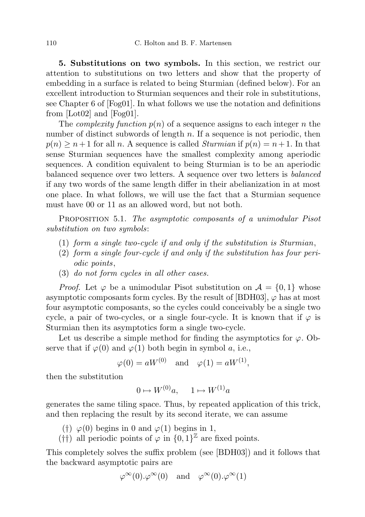5. Substitutions on two symbols. In this section, we restrict our attention to substitutions on two letters and show that the property of embedding in a surface is related to being Sturmian (defined below). For an excellent introduction to Sturmian sequences and their role in substitutions, see Chapter 6 of [Fog01]. In what follows we use the notation and definitions from [Lot02] and [Fog01].

The *complexity function*  $p(n)$  of a sequence assigns to each integer n the number of distinct subwords of length  $n$ . If a sequence is not periodic, then  $p(n) \geq n+1$  for all n. A sequence is called *Sturmian* if  $p(n) = n+1$ . In that sense Sturmian sequences have the smallest complexity among aperiodic sequences. A condition equivalent to being Sturmian is to be an aperiodic balanced sequence over two letters. A sequence over two letters is balanced if any two words of the same length differ in their abelianization in at most one place. In what follows, we will use the fact that a Sturmian sequence must have 00 or 11 as an allowed word, but not both.

PROPOSITION 5.1. The asymptotic composants of a unimodular Pisot substitution on two symbols:

- (1) form a single two-cycle if and only if the substitution is Sturmian,
- (2) form a single four-cycle if and only if the substitution has four periodic points,
- (3) do not form cycles in all other cases.

*Proof.* Let  $\varphi$  be a unimodular Pisot substitution on  $\mathcal{A} = \{0, 1\}$  whose asymptotic composants form cycles. By the result of [BDH03],  $\varphi$  has at most four asymptotic composants, so the cycles could conceivably be a single two cycle, a pair of two-cycles, or a single four-cycle. It is known that if  $\varphi$  is Sturmian then its asymptotics form a single two-cycle.

Let us describe a simple method for finding the asymptotics for  $\varphi$ . Observe that if  $\varphi(0)$  and  $\varphi(1)$  both begin in symbol a, i.e.,

 $\varphi(0) = aW^{(0)}$  and  $\varphi(1) = aW^{(1)}$ ,

then the substitution

$$
0 \mapsto W^{(0)}a, \quad 1 \mapsto W^{(1)}a
$$

generates the same tiling space. Thus, by repeated application of this trick, and then replacing the result by its second iterate, we can assume

(†)  $\varphi(0)$  begins in 0 and  $\varphi(1)$  begins in 1,

(†) all periodic points of  $\varphi$  in  $\{0,1\}^{\mathbb{Z}}$  are fixed points.

This completely solves the suffix problem (see [BDH03]) and it follows that the backward asymptotic pairs are

$$
\varphi^{\infty}(0).\varphi^{\infty}(0)
$$
 and  $\varphi^{\infty}(0).\varphi^{\infty}(1)$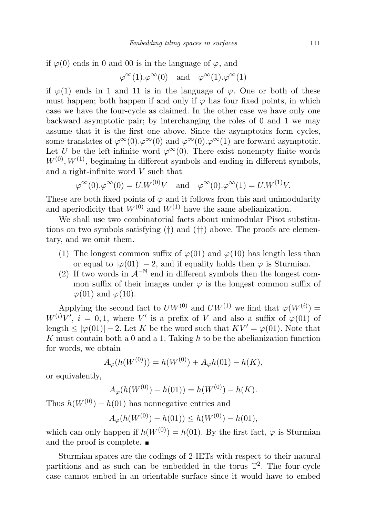if  $\varphi(0)$  ends in 0 and 00 is in the language of  $\varphi$ , and

$$
\varphi^{\infty}(1) \cdot \varphi^{\infty}(0)
$$
 and  $\varphi^{\infty}(1) \cdot \varphi^{\infty}(1)$ 

if  $\varphi(1)$  ends in 1 and 11 is in the language of  $\varphi$ . One or both of these must happen; both happen if and only if  $\varphi$  has four fixed points, in which case we have the four-cycle as claimed. In the other case we have only one backward asymptotic pair; by interchanging the roles of 0 and 1 we may assume that it is the first one above. Since the asymptotics form cycles, some translates of  $\varphi^{\infty}(0) \cdot \varphi^{\infty}(0)$  and  $\varphi^{\infty}(0) \cdot \varphi^{\infty}(1)$  are forward asymptotic. Let U be the left-infinite word  $\varphi^{\infty}(0)$ . There exist nonempty finite words  $W^{(0)}, W^{(1)}$ , beginning in different symbols and ending in different symbols, and a right-infinite word V such that

$$
\varphi^{\infty}(0).\varphi^{\infty}(0) = U.W^{(0)}V
$$
 and  $\varphi^{\infty}(0).\varphi^{\infty}(1) = U.W^{(1)}V$ .

These are both fixed points of  $\varphi$  and it follows from this and unimodularity and aperiodicity that  $W^{(0)}$  and  $W^{(1)}$  have the same abelianization.

We shall use two combinatorial facts about unimodular Pisot substitutions on two symbols satisfying (†) and (††) above. The proofs are elementary, and we omit them.

- (1) The longest common suffix of  $\varphi(01)$  and  $\varphi(10)$  has length less than or equal to  $|\varphi(01)| - 2$ , and if equality holds then  $\varphi$  is Sturmian.
- (2) If two words in  $\mathcal{A}^{-N}$  end in different symbols then the longest common suffix of their images under  $\varphi$  is the longest common suffix of  $\varphi(01)$  and  $\varphi(10)$ .

Applying the second fact to  $U W^{(0)}$  and  $U W^{(1)}$  we find that  $\varphi(W^{(i)}) =$  $W^{(i)}V'$ ,  $i = 0, 1$ , where V' is a prefix of V and also a suffix of  $\varphi(01)$  of length  $\leq |\varphi(01)| - 2$ . Let K be the word such that  $KV' = \varphi(01)$ . Note that K must contain both a 0 and a 1. Taking  $h$  to be the abelianization function for words, we obtain

$$
A_{\varphi}(h(W^{(0)})) = h(W^{(0)}) + A_{\varphi}h(01) - h(K),
$$

or equivalently,

$$
A_{\varphi}(h(W^{(0)}) - h(01)) = h(W^{(0)}) - h(K).
$$

Thus  $h(W^{(0)}) - h(01)$  has nonnegative entries and

$$
A_{\varphi}(h(W^{(0)}) - h(01)) \le h(W^{(0)}) - h(01),
$$

which can only happen if  $h(W^{(0)}) = h(01)$ . By the first fact,  $\varphi$  is Sturmian and the proof is complete.

Sturmian spaces are the codings of 2-IETs with respect to their natural partitions and as such can be embedded in the torus  $\mathbb{T}^2$ . The four-cycle case cannot embed in an orientable surface since it would have to embed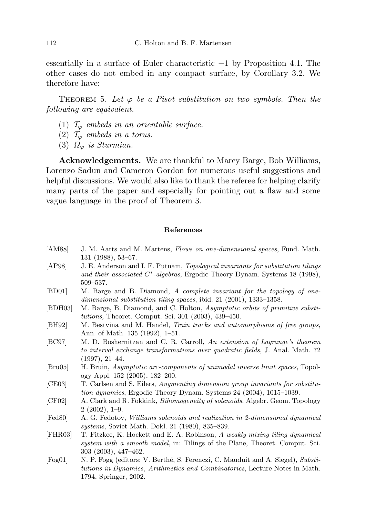essentially in a surface of Euler characteristic −1 by Proposition 4.1. The other cases do not embed in any compact surface, by Corollary 3.2. We therefore have:

THEOREM 5. Let  $\varphi$  be a Pisot substitution on two symbols. Then the following are equivalent.

- (1)  $\mathcal{T}_{\varphi}$  embeds in an orientable surface.
- (2)  $\mathcal{T}_{\varphi}$  embeds in a torus.
- (3)  $\Omega_{\varphi}$  is Sturmian.

Acknowledgements. We are thankful to Marcy Barge, Bob Williams, Lorenzo Sadun and Cameron Gordon for numerous useful suggestions and helpful discussions. We would also like to thank the referee for helping clarify many parts of the paper and especially for pointing out a flaw and some vague language in the proof of Theorem 3.

## References

- [AM88] J. M. Aarts and M. Martens, Flows on one-dimensional spaces, Fund. Math. 131 (1988), 53–67.
- [AP98] J. E. Anderson and I. F. Putnam, Topological invariants for substitution tilings and their associated C<sup>\*</sup>-algebras, Ergodic Theory Dynam. Systems 18 (1998), 509–537.
- [BD01] M. Barge and B. Diamond, A complete invariant for the topology of onedimensional substitution tiling spaces, ibid. 21 (2001), 1333–1358.
- [BDH03] M. Barge, B. Diamond, and C. Holton, Asymptotic orbits of primitive substitutions, Theoret. Comput. Sci. 301 (2003), 439–450.
- [BH92] M. Bestvina and M. Handel, Train tracks and automorphisms of free groups, Ann. of Math. 135 (1992), 1–51.
- [BC97] M. D. Boshernitzan and C. R. Carroll, An extension of Lagrange's theorem to interval exchange transformations over quadratic fields, J. Anal. Math. 72 (1997), 21–44.
- [Bru05] H. Bruin, Asymptotic arc-components of unimodal inverse limit spaces, Topology Appl. 152 (2005), 182–200.
- [CE03] T. Carlsen and S. Eilers, Augmenting dimension group invariants for substitution dynamics, Ergodic Theory Dynam. Systems 24 (2004), 1015–1039.
- [CF02] A. Clark and R. Fokkink, Bihomogeneity of solenoids, Algebr. Geom. Topology 2 (2002), 1–9.
- [Fed80] A. G. Fedotov, Williams solenoids and realization in 2-dimensional dynamical systems, Soviet Math. Dokl. 21 (1980), 835–839.
- [FHR03] T. Fitzkee, K. Hockett and E. A. Robinson, A weakly mixing tiling dynamical system with a smooth model, in: Tilings of the Plane, Theoret. Comput. Sci. 303 (2003), 447–462.
- [Fog01] N. P. Fogg (editors: V. Berth´e, S. Ferenczi, C. Mauduit and A. Siegel), Substitutions in Dynamics, Arithmetics and Combinatorics, Lecture Notes in Math. 1794, Springer, 2002.